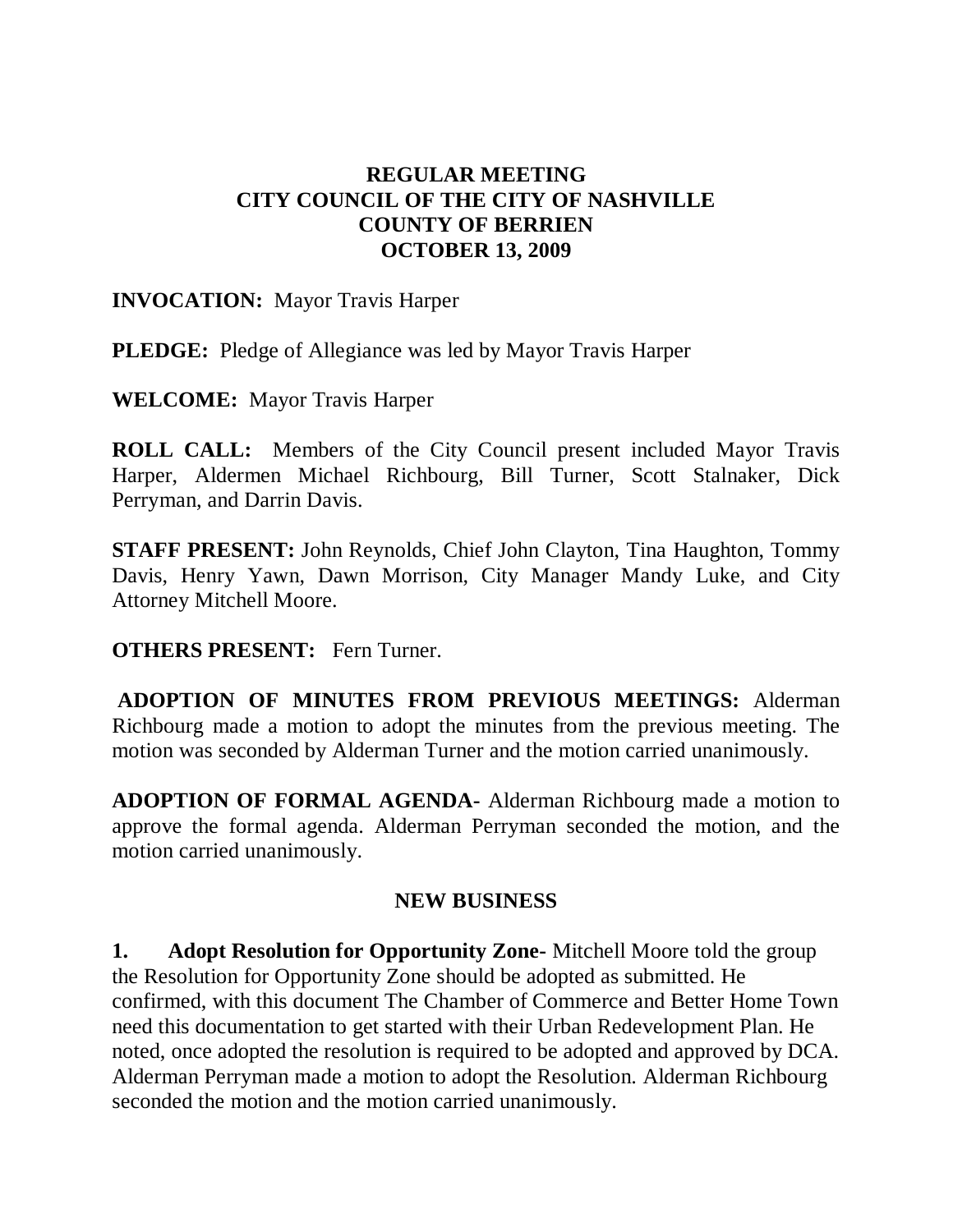# **REGULAR MEETING CITY COUNCIL OF THE CITY OF NASHVILLE COUNTY OF BERRIEN OCTOBER 13, 2009**

## **INVOCATION:** Mayor Travis Harper

**PLEDGE:** Pledge of Allegiance was led by Mayor Travis Harper

**WELCOME:** Mayor Travis Harper

**ROLL CALL:** Members of the City Council present included Mayor Travis Harper, Aldermen Michael Richbourg, Bill Turner, Scott Stalnaker, Dick Perryman, and Darrin Davis.

**STAFF PRESENT:** John Reynolds, Chief John Clayton, Tina Haughton, Tommy Davis, Henry Yawn, Dawn Morrison, City Manager Mandy Luke, and City Attorney Mitchell Moore.

#### **OTHERS PRESENT:** Fern Turner.

**ADOPTION OF MINUTES FROM PREVIOUS MEETINGS:** Alderman Richbourg made a motion to adopt the minutes from the previous meeting. The motion was seconded by Alderman Turner and the motion carried unanimously.

**ADOPTION OF FORMAL AGENDA-** Alderman Richbourg made a motion to approve the formal agenda. Alderman Perryman seconded the motion, and the motion carried unanimously.

## **NEW BUSINESS**

**1. Adopt Resolution for Opportunity Zone-** Mitchell Moore told the group the Resolution for Opportunity Zone should be adopted as submitted. He confirmed, with this document The Chamber of Commerce and Better Home Town need this documentation to get started with their Urban Redevelopment Plan. He noted, once adopted the resolution is required to be adopted and approved by DCA. Alderman Perryman made a motion to adopt the Resolution. Alderman Richbourg seconded the motion and the motion carried unanimously.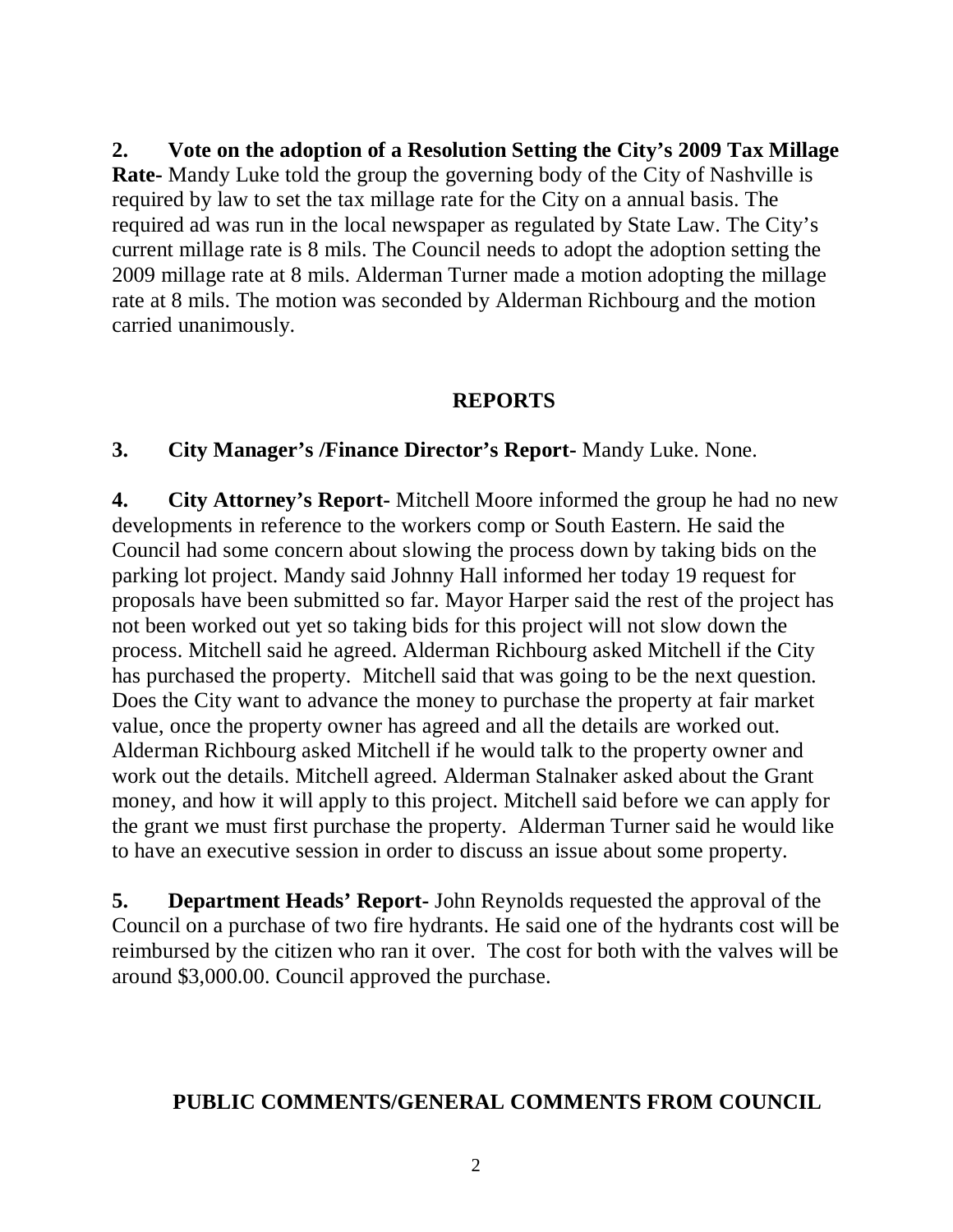**2. Vote on the adoption of a Resolution Setting the City's 2009 Tax Millage Rate-** Mandy Luke told the group the governing body of the City of Nashville is required by law to set the tax millage rate for the City on a annual basis. The required ad was run in the local newspaper as regulated by State Law. The City's current millage rate is 8 mils. The Council needs to adopt the adoption setting the 2009 millage rate at 8 mils. Alderman Turner made a motion adopting the millage rate at 8 mils. The motion was seconded by Alderman Richbourg and the motion carried unanimously.

#### **REPORTS**

### **3. City Manager's /Finance Director's Report-** Mandy Luke. None.

**4. City Attorney's Report-** Mitchell Moore informed the group he had no new developments in reference to the workers comp or South Eastern. He said the Council had some concern about slowing the process down by taking bids on the parking lot project. Mandy said Johnny Hall informed her today 19 request for proposals have been submitted so far. Mayor Harper said the rest of the project has not been worked out yet so taking bids for this project will not slow down the process. Mitchell said he agreed. Alderman Richbourg asked Mitchell if the City has purchased the property. Mitchell said that was going to be the next question. Does the City want to advance the money to purchase the property at fair market value, once the property owner has agreed and all the details are worked out. Alderman Richbourg asked Mitchell if he would talk to the property owner and work out the details. Mitchell agreed. Alderman Stalnaker asked about the Grant money, and how it will apply to this project. Mitchell said before we can apply for the grant we must first purchase the property. Alderman Turner said he would like to have an executive session in order to discuss an issue about some property.

**5. Department Heads' Report-** John Reynolds requested the approval of the Council on a purchase of two fire hydrants. He said one of the hydrants cost will be reimbursed by the citizen who ran it over. The cost for both with the valves will be around \$3,000.00. Council approved the purchase.

## **PUBLIC COMMENTS/GENERAL COMMENTS FROM COUNCIL**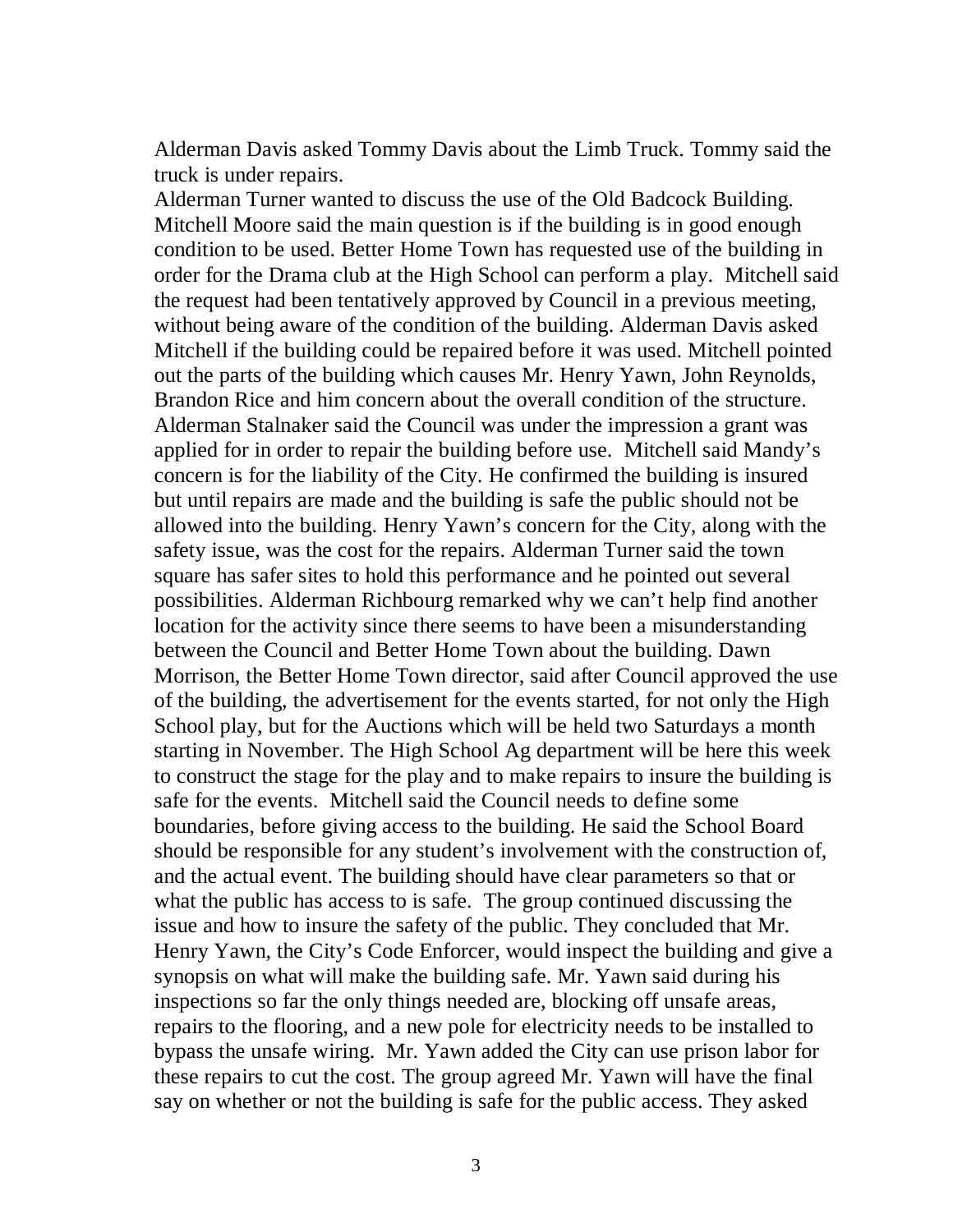Alderman Davis asked Tommy Davis about the Limb Truck. Tommy said the truck is under repairs.

Alderman Turner wanted to discuss the use of the Old Badcock Building. Mitchell Moore said the main question is if the building is in good enough condition to be used. Better Home Town has requested use of the building in order for the Drama club at the High School can perform a play. Mitchell said the request had been tentatively approved by Council in a previous meeting, without being aware of the condition of the building. Alderman Davis asked Mitchell if the building could be repaired before it was used. Mitchell pointed out the parts of the building which causes Mr. Henry Yawn, John Reynolds, Brandon Rice and him concern about the overall condition of the structure. Alderman Stalnaker said the Council was under the impression a grant was applied for in order to repair the building before use. Mitchell said Mandy's concern is for the liability of the City. He confirmed the building is insured but until repairs are made and the building is safe the public should not be allowed into the building. Henry Yawn's concern for the City, along with the safety issue, was the cost for the repairs. Alderman Turner said the town square has safer sites to hold this performance and he pointed out several possibilities. Alderman Richbourg remarked why we can't help find another location for the activity since there seems to have been a misunderstanding between the Council and Better Home Town about the building. Dawn Morrison, the Better Home Town director, said after Council approved the use of the building, the advertisement for the events started, for not only the High School play, but for the Auctions which will be held two Saturdays a month starting in November. The High School Ag department will be here this week to construct the stage for the play and to make repairs to insure the building is safe for the events. Mitchell said the Council needs to define some boundaries, before giving access to the building. He said the School Board should be responsible for any student's involvement with the construction of, and the actual event. The building should have clear parameters so that or what the public has access to is safe. The group continued discussing the issue and how to insure the safety of the public. They concluded that Mr. Henry Yawn, the City's Code Enforcer, would inspect the building and give a synopsis on what will make the building safe. Mr. Yawn said during his inspections so far the only things needed are, blocking off unsafe areas, repairs to the flooring, and a new pole for electricity needs to be installed to bypass the unsafe wiring. Mr. Yawn added the City can use prison labor for these repairs to cut the cost. The group agreed Mr. Yawn will have the final say on whether or not the building is safe for the public access. They asked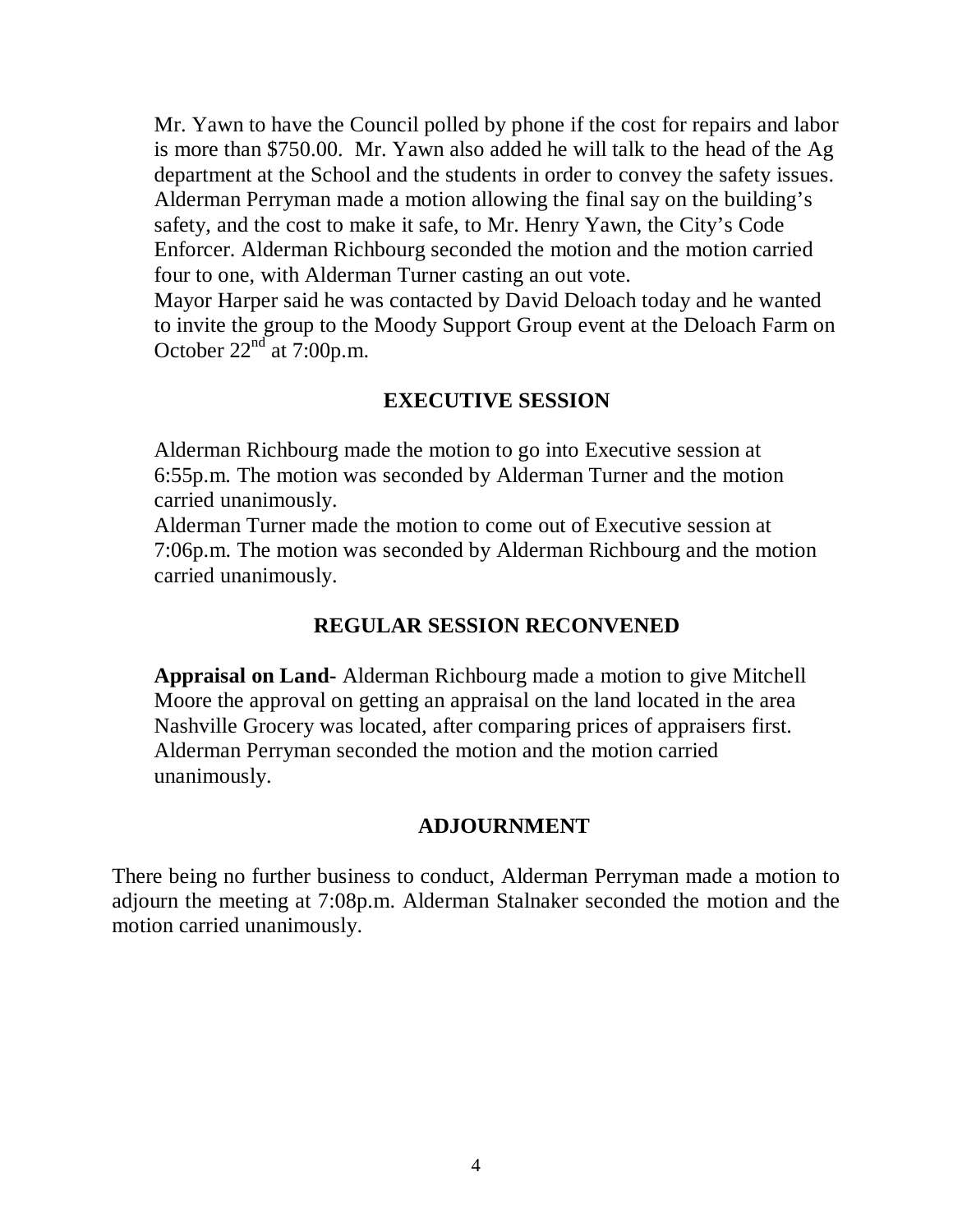Mr. Yawn to have the Council polled by phone if the cost for repairs and labor is more than \$750.00. Mr. Yawn also added he will talk to the head of the Ag department at the School and the students in order to convey the safety issues. Alderman Perryman made a motion allowing the final say on the building's safety, and the cost to make it safe, to Mr. Henry Yawn, the City's Code Enforcer. Alderman Richbourg seconded the motion and the motion carried four to one, with Alderman Turner casting an out vote.

Mayor Harper said he was contacted by David Deloach today and he wanted to invite the group to the Moody Support Group event at the Deloach Farm on October  $22<sup>nd</sup>$  at 7:00p.m.

# **EXECUTIVE SESSION**

Alderman Richbourg made the motion to go into Executive session at 6:55p.m. The motion was seconded by Alderman Turner and the motion carried unanimously.

Alderman Turner made the motion to come out of Executive session at 7:06p.m. The motion was seconded by Alderman Richbourg and the motion carried unanimously.

## **REGULAR SESSION RECONVENED**

**Appraisal on Land-** Alderman Richbourg made a motion to give Mitchell Moore the approval on getting an appraisal on the land located in the area Nashville Grocery was located, after comparing prices of appraisers first. Alderman Perryman seconded the motion and the motion carried unanimously.

#### **ADJOURNMENT**

There being no further business to conduct, Alderman Perryman made a motion to adjourn the meeting at 7:08p.m. Alderman Stalnaker seconded the motion and the motion carried unanimously.